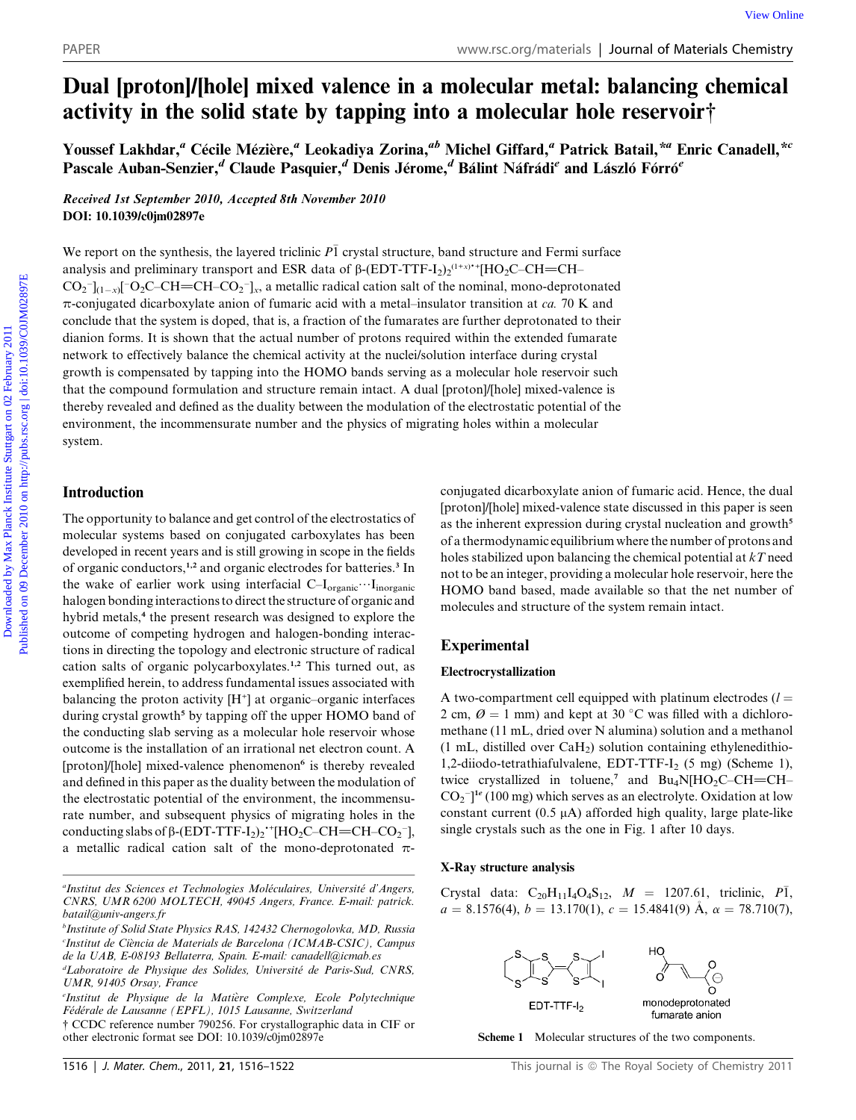# Dual [proton]/[hole] mixed valence in a molecular metal: balancing chemical activity in the solid state by tapping into a molecular hole reservoir†

Youssef Lakhdar," Cécile Mézière," Leokadiya Zorina,"<sup>b</sup> Michel Giffard," Patrick Batail,\*" Enric Canadell,\*<sup>c</sup> Pascale Auban-Senzier,<sup>d</sup> Claude Pasquier,<sup>d</sup> Denis Jérome,<sup>d</sup> Bálint Náfrádi<sup>e</sup> and László Fórró<sup>e</sup>

Received 1st September 2010, Accepted 8th November 2010 DOI: 10.1039/c0jm02897e

We report on the synthesis, the layered triclinic  $P\bar{1}$  crystal structure, band structure and Fermi surface analysis and preliminary transport and ESR data of  $\beta$ -(EDT-TTF-I<sub>2</sub>)<sub>2</sub><sup>(1+x)</sup><sup>+</sup>[HO<sub>2</sub>C–CH=CH–  $CO_2^-$ ]<sub>(1-x)</sub>[<sup>-</sup>O<sub>2</sub>C–CH=CH–CO<sub>2</sub><sup>-</sup>]<sub>x</sub>, a metallic radical cation salt of the nominal, mono-deprotonated  $\pi$ -conjugated dicarboxylate anion of fumaric acid with a metal–insulator transition at ca. 70 K and conclude that the system is doped, that is, a fraction of the fumarates are further deprotonated to their dianion forms. It is shown that the actual number of protons required within the extended fumarate network to effectively balance the chemical activity at the nuclei/solution interface during crystal growth is compensated by tapping into the HOMO bands serving as a molecular hole reservoir such that the compound formulation and structure remain intact. A dual [proton]/[hole] mixed-valence is thereby revealed and defined as the duality between the modulation of the electrostatic potential of the environment, the incommensurate number and the physics of migrating holes within a molecular system. PAPER<br>
Dual [proton]/[hole] mixed valence in a molecular metal: balancing chemical<br>
activity in the solid state by tapping into a molecular hole reservoir<sup>4</sup><br>
Yousef Lakhdar," Cedic Mezieve," Leokadya Zorina,<sup>an</sup> Michel G

# Introduction

The opportunity to balance and get control of the electrostatics of molecular systems based on conjugated carboxylates has been developed in recent years and is still growing in scope in the fields of organic conductors,<sup>1,2</sup> and organic electrodes for batteries.<sup>3</sup> In the wake of earlier work using interfacial  $C-I_{organic}\cdots I_{inorganic}$ halogen bonding interactions to direct the structure of organic and hybrid metals,<sup>4</sup> the present research was designed to explore the outcome of competing hydrogen and halogen-bonding interactions in directing the topology and electronic structure of radical cation salts of organic polycarboxylates.1,2 This turned out, as exemplified herein, to address fundamental issues associated with balancing the proton activity  $[H^+]$  at organic-organic interfaces during crystal growth<sup>5</sup> by tapping off the upper HOMO band of the conducting slab serving as a molecular hole reservoir whose outcome is the installation of an irrational net electron count. A [proton]/[hole] mixed-valence phenomenon<sup>6</sup> is thereby revealed and defined in this paper as the duality between the modulation of the electrostatic potential of the environment, the incommensurate number, and subsequent physics of migrating holes in the conducting slabs of  $\beta$ -(EDT-TTF-I<sub>2</sub>)<sub>2</sub><sup>-+</sup>[HO<sub>2</sub>C–CH=CH–CO<sub>2</sub><sup>-</sup>], a metallic radical cation salt of the mono-deprotonated  $\pi$ - conjugated dicarboxylate anion of fumaric acid. Hence, the dual [proton]/[hole] mixed-valence state discussed in this paper is seen as the inherent expression during crystal nucleation and growth<sup>5</sup> of a thermodynamic equilibrium where the number of protons and holes stabilized upon balancing the chemical potential at  $kT$  need not to be an integer, providing a molecular hole reservoir, here the HOMO band based, made available so that the net number of molecules and structure of the system remain intact.

# Experimental

### Electrocrystallization

A two-compartment cell equipped with platinum electrodes  $(l =$ 2 cm,  $\varnothing$  = 1 mm) and kept at 30 °C was filled with a dichloromethane (11 mL, dried over N alumina) solution and a methanol (1 mL, distilled over CaH2) solution containing ethylenedithio-1,2-diiodo-tetrathiafulvalene, EDT-TTF-I<sub>2</sub> (5 mg) (Scheme 1), twice crystallized in toluene,<sup>7</sup> and  $Bu_4N[HO_2C-CH=CH CO_2$ <sup>-</sup>]<sup>1e</sup> (100 mg) which serves as an electrolyte. Oxidation at low constant current  $(0.5 \mu A)$  afforded high quality, large plate-like single crystals such as the one in Fig. 1 after 10 days.

#### X-Ray structure analysis

Crystal data:  $C_{20}H_{11}I_4O_4S_{12}$ ,  $M = 1207.61$ , triclinic,  $P\bar{1}$ ,  $a = 8.1576(4), b = 13.170(1), c = 15.4841(9)$   $\AA$ ,  $\alpha = 78.710(7)$ ,



fumarate anion

Scheme 1 Molecular structures of the two components.

<sup>&</sup>quot;Institut des Sciences et Technologies Moléculaires, Université d'Angers, CNRS, UMR 6200 MOLTECH, 49045 Angers, France. E-mail: patrick. batail@univ-angers.fr

b Institute of Solid State Physics RAS, 142432 Chernogolovka, MD, Russia <sup>c</sup>Institut de Ciència de Materials de Barcelona (ICMAB-CSIC), Campus de la UAB, E-08193 Bellaterra, Spain. E-mail: canadell@icmab.es

<sup>&</sup>lt;sup>d</sup>Laboratoire de Physique des Solides, Université de Paris-Sud, CNRS, UMR, 91405 Orsay, France

e Institut de Physique de la Matiere Complexe, Ecole Polytechnique Fédérale de Lausanne (EPFL), 1015 Lausanne, Switzerland

<sup>†</sup> CCDC reference number 790256. For crystallographic data in CIF or other electronic format see DOI: 10.1039/c0jm02897e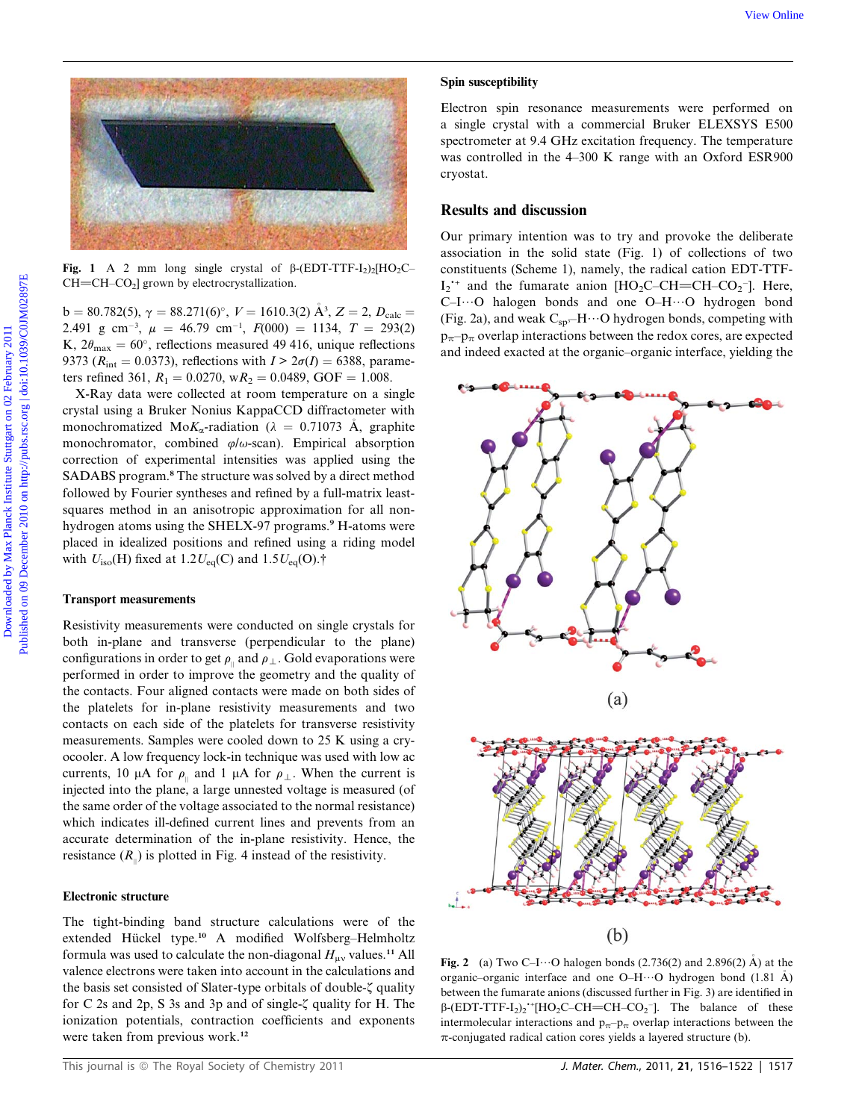

Fig. 1 A 2 mm long single crystal of  $\beta$ -(EDT-TTF-I<sub>2</sub>)<sub>2</sub>[HO<sub>2</sub>C–  $CH=CH-CO<sub>2</sub>$ ] grown by electrocrystallization.

b = 80.782(5),  $\gamma = 88.271(6)^\circ$ ,  $V = 1610.3(2)$   $\mathring{A}^3$ ,  $Z = 2$ ,  $D_{\text{calc}} =$ 2.491 g cm<sup>-3</sup>,  $\mu = 46.79$  cm<sup>-1</sup>,  $F(000) = 1134$ ,  $T = 293(2)$ K,  $2\theta_{\text{max}} = 60^{\circ}$ , reflections measured 49 416, unique reflections 9373 ( $R_{\text{int}} = 0.0373$ ), reflections with  $I > 2\sigma(I) = 6388$ , parameters refined 361,  $R_1 = 0.0270$ , w $R_2 = 0.0489$ , GOF = 1.008.

X-Ray data were collected at room temperature on a single crystal using a Bruker Nonius KappaCCD diffractometer with monochromatized Mo $K_{\alpha}$ -radiation ( $\lambda = 0.71073$  Å, graphite monochromator, combined  $\varphi/\omega$ -scan). Empirical absorption correction of experimental intensities was applied using the SADABS program.<sup>8</sup> The structure was solved by a direct method followed by Fourier syntheses and refined by a full-matrix leastsquares method in an anisotropic approximation for all nonhydrogen atoms using the SHELX-97 programs.<sup>9</sup> H-atoms were placed in idealized positions and refined using a riding model with  $U_{\text{iso}}(H)$  fixed at 1.2 $U_{\text{eq}}(C)$  and 1.5 $U_{\text{eq}}(O)$ .†

### Transport measurements

Resistivity measurements were conducted on single crystals for both in-plane and transverse (perpendicular to the plane) configurations in order to get  $\rho_{\parallel}$  and  $\rho_{\perp}$ . Gold evaporations were performed in order to improve the geometry and the quality of the contacts. Four aligned contacts were made on both sides of the platelets for in-plane resistivity measurements and two contacts on each side of the platelets for transverse resistivity measurements. Samples were cooled down to 25 K using a cryocooler. A low frequency lock-in technique was used with low ac currents, 10  $\mu$ A for  $\rho_{\parallel}$  and 1  $\mu$ A for  $\rho_{\perp}$ . When the current is injected into the plane, a large unnested voltage is measured (of the same order of the voltage associated to the normal resistance) which indicates ill-defined current lines and prevents from an accurate determination of the in-plane resistivity. Hence, the resistance  $(R_{\shortparallel})$  is plotted in Fig. 4 instead of the resistivity.

## Electronic structure

The tight-binding band structure calculations were of the extended Hückel type.<sup>10</sup> A modified Wolfsberg-Helmholtz formula was used to calculate the non-diagonal  $H_{\mu\nu}$  values.<sup>11</sup> All valence electrons were taken into account in the calculations and the basis set consisted of Slater-type orbitals of double- $\zeta$  quality for C 2s and 2p, S 3s and 3p and of single- $\zeta$  quality for H. The ionization potentials, contraction coefficients and exponents were taken from previous work.<sup>12</sup>

#### Spin susceptibility

Electron spin resonance measurements were performed on a single crystal with a commercial Bruker ELEXSYS E500 spectrometer at 9.4 GHz excitation frequency. The temperature was controlled in the 4–300 K range with an Oxford ESR900 cryostat.

# Results and discussion

Our primary intention was to try and provoke the deliberate association in the solid state (Fig. 1) of collections of two constituents (Scheme 1), namely, the radical cation EDT-TTF- $I_2$ <sup>+</sup> and the fumarate anion [HO<sub>2</sub>C–CH=CH–CO<sub>2</sub><sup>-</sup>]. Here, C-I $\cdots$ O halogen bonds and one O-H $\cdots$ O hydrogen bond (Fig. 2a), and weak  $C_{sp}H\cdots O$  hydrogen bonds, competing with  $p_{\pi}$ – $p_{\pi}$  overlap interactions between the redox cores, are expected and indeed exacted at the organic–organic interface, yielding the



Fig. 2 (a) Two C–I $\cdots$ O halogen bonds (2.736(2) and 2.896(2) Å) at the organic–organic interface and one O–H $\cdots$ O hydrogen bond (1.81 A) between the fumarate anions (discussed further in Fig. 3) are identified in  $\beta$ -(EDT-TTF-I<sub>2</sub>)<sub>2</sub><sup>+</sup>[HO<sub>2</sub>C–CH=CH–CO<sub>2</sub><sup>-</sup>]. The balance of these intermolecular interactions and  $p_{\pi}$ - $p_{\pi}$  overlap interactions between the  $\pi$ -conjugated radical cation cores yields a layered structure (b).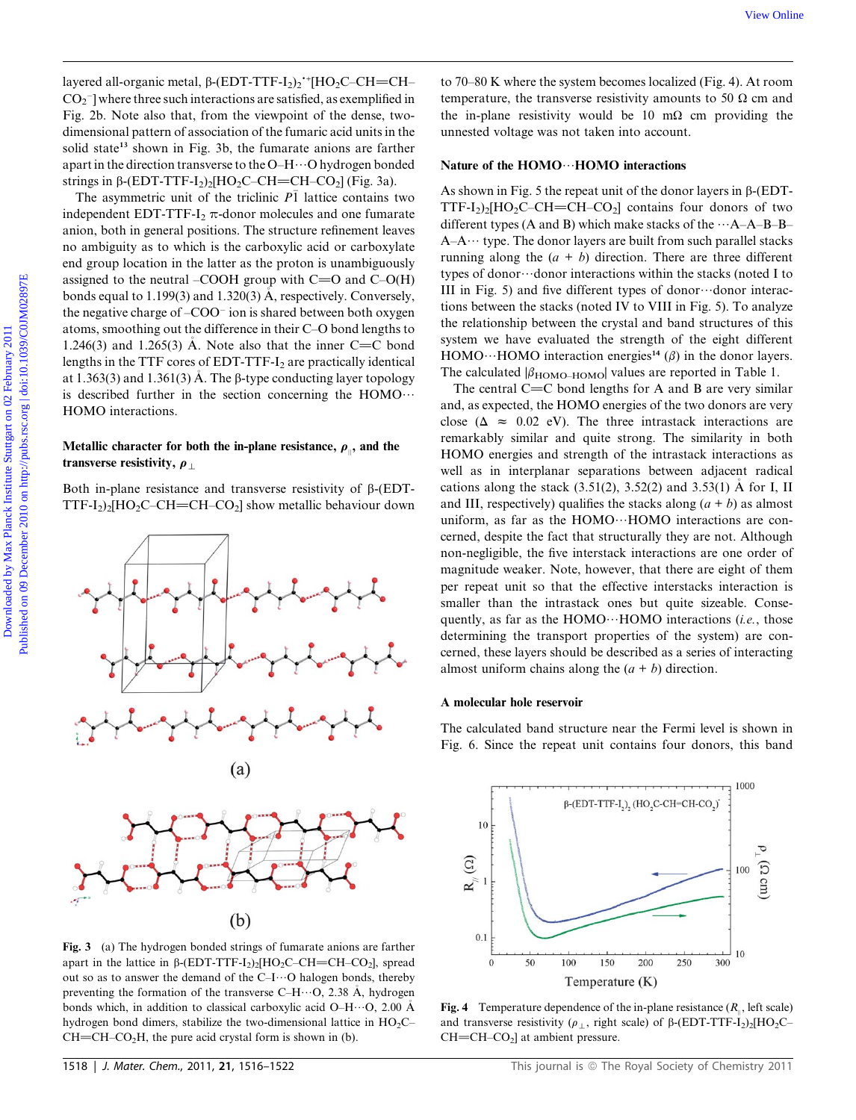layered all-organic metal,  $\beta$ -(EDT-TTF-I<sub>2</sub>)<sub>2</sub><sup>-+</sup>[HO<sub>2</sub>C–CH=CH–  $CO_2$ <sup>-</sup>] where three such interactions are satisfied, as exemplified in Fig. 2b. Note also that, from the viewpoint of the dense, twodimensional pattern of association of the fumaric acid units in the solid state<sup>13</sup> shown in Fig. 3b, the fumarate anions are farther apart in the direction transverse to the O–H $\cdots$ O hydrogen bonded strings in  $\beta$ -(EDT-TTF-I<sub>2</sub>)<sub>2</sub>[HO<sub>2</sub>C–CH=CH–CO<sub>2</sub>] (Fig. 3a).

The asymmetric unit of the triclinic  $P\bar{1}$  lattice contains two independent EDT-TTF-I<sub>2</sub>  $\pi$ -donor molecules and one fumarate anion, both in general positions. The structure refinement leaves no ambiguity as to which is the carboxylic acid or carboxylate end group location in the latter as the proton is unambiguously assigned to the neutral –COOH group with  $C=O$  and  $C-O(H)$ bonds equal to 1.199(3) and 1.320(3) A, respectively. Conversely, the negative charge of –COO<sup>-</sup> ion is shared between both oxygen atoms, smoothing out the difference in their C–O bond lengths to 1.246(3) and 1.265(3) A. Note also that the inner  $C = C$  bond lengths in the TTF cores of EDT-TTF- $I_2$  are practically identical at 1.363(3) and 1.361(3) A. The  $\beta$ -type conducting layer topology is described further in the section concerning the  $HOMO \cdots$ HOMO interactions.

# Metallic character for both the in-plane resistance,  $\rho_{\mu}$ , and the transverse resistivity,  $\rho_{\perp}$

Both in-plane resistance and transverse resistivity of  $\beta$ -(EDT-TTF-I<sub>2</sub>)<sub>2</sub>[HO<sub>2</sub>C–CH=CH–CO<sub>2</sub>] show metallic behaviour down



Fig. 3 (a) The hydrogen bonded strings of fumarate anions are farther apart in the lattice in  $\beta$ -(EDT-TTF-I<sub>2</sub>)<sub>2</sub>[HO<sub>2</sub>C–CH=CH–CO<sub>2</sub>], spread out so as to answer the demand of the  $C-I\cdots O$  halogen bonds, thereby preventing the formation of the transverse C–H $\cdots$ O, 2.38 Å, hydrogen bonds which, in addition to classical carboxylic acid O–H $\cdots$ O, 2.00 Å hydrogen bond dimers, stabilize the two-dimensional lattice in  $HO_2C CH=CH-CO<sub>2</sub>H$ , the pure acid crystal form is shown in (b).

to 70–80 K where the system becomes localized (Fig. 4). At room temperature, the transverse resistivity amounts to 50  $\Omega$  cm and the in-plane resistivity would be 10 m $\Omega$  cm providing the unnested voltage was not taken into account.

# Nature of the  $HOMO \cdots HOMO$  interactions

As shown in Fig. 5 the repeat unit of the donor layers in  $\beta$ -(EDT-TTF-I<sub>2</sub>)<sub>2</sub>[HO<sub>2</sub>C–CH=CH–CO<sub>2</sub>] contains four donors of two different types (A and B) which make stacks of the  $\cdots$ A–A–B–B–  $A-A \cdots$  type. The donor layers are built from such parallel stacks running along the  $(a + b)$  direction. There are three different types of donor $\cdots$ donor interactions within the stacks (noted I to III in Fig. 5) and five different types of donor $\cdots$ donor interactions between the stacks (noted IV to VIII in Fig. 5). To analyze the relationship between the crystal and band structures of this system we have evaluated the strength of the eight different HOMO···HOMO interaction energies<sup>14</sup> ( $\beta$ ) in the donor layers. The calculated  $\beta_{\text{HOMO-HOMO}}$  values are reported in Table 1.

The central  $C=C$  bond lengths for A and B are very similar and, as expected, the HOMO energies of the two donors are very close ( $\Delta \approx 0.02$  eV). The three intrastack interactions are remarkably similar and quite strong. The similarity in both HOMO energies and strength of the intrastack interactions as well as in interplanar separations between adjacent radical cations along the stack  $(3.51(2), 3.52(2)$  and  $3.53(1)$  A for I, II and III, respectively) qualifies the stacks along  $(a + b)$  as almost uniform, as far as the  $HOMO \cdots HOMO$  interactions are concerned, despite the fact that structurally they are not. Although non-negligible, the five interstack interactions are one order of magnitude weaker. Note, however, that there are eight of them per repeat unit so that the effective interstacks interaction is smaller than the intrastack ones but quite sizeable. Consequently, as far as the HOMO $\cdots$ HOMO interactions (*i.e.*, those determining the transport properties of the system) are concerned, these layers should be described as a series of interacting almost uniform chains along the  $(a + b)$  direction. by enal altergarms meial,  $\beta$ (11911-1717-1<sub>23</sub>) '[HO<sub>2</sub>C CH=CH as 70 30 K where the system hexonical fig. 4). At ever<br>
Do .) Published on 2011 Published on 2011 Published on 2012 and alternative Studies of the formula co

# A molecular hole reservoir

The calculated band structure near the Fermi level is shown in Fig. 6. Since the repeat unit contains four donors, this band



Fig. 4 Temperature dependence of the in-plane resistance  $(R_{\shortparallel})$ , left scale) and transverse resistivity ( $\rho_{\perp}$ , right scale) of  $\beta$ -(EDT-TTF-I<sub>2</sub>)<sub>2</sub>[HO<sub>2</sub>C–  $CH=CH-CO<sub>2</sub>$ ] at ambient pressure.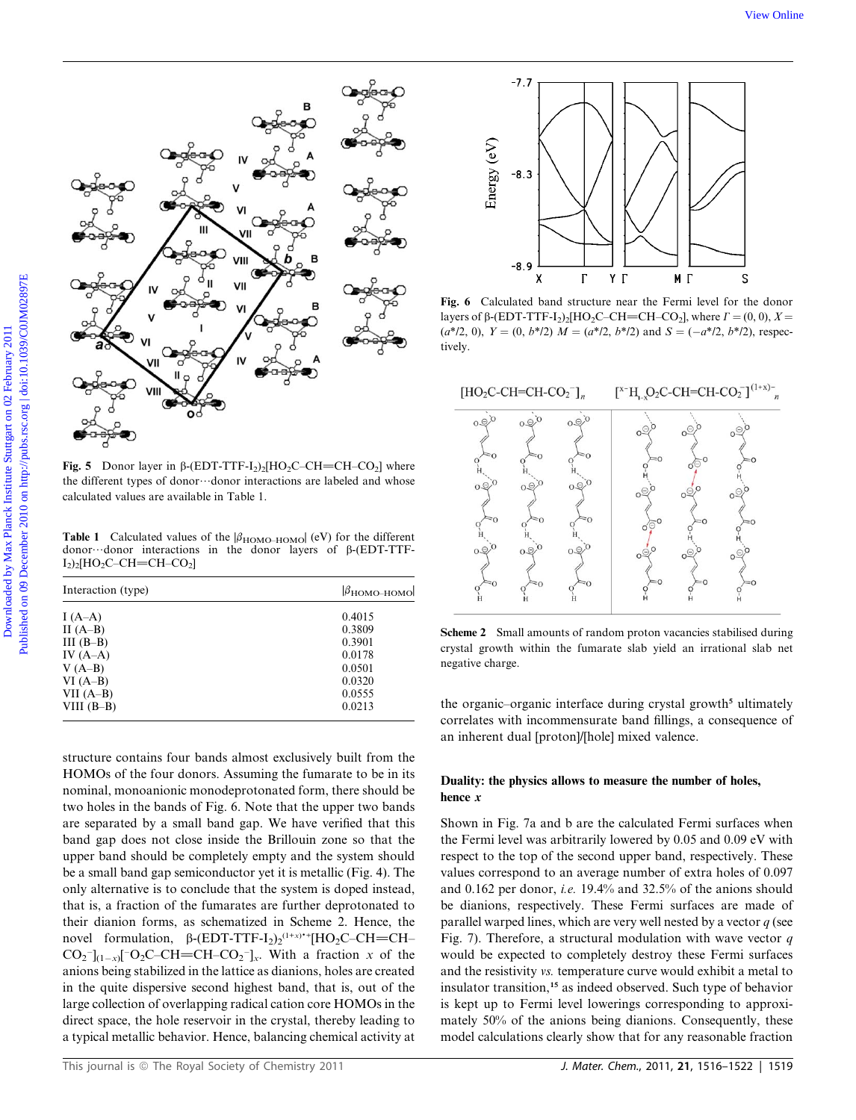

Fig. 5 Donor layer in  $\beta$ -(EDT-TTF-I<sub>2</sub>)<sub>2</sub>[HO<sub>2</sub>C–CH=CH–CO<sub>2</sub>] where the different types of donor $\cdots$ donor interactions are labeled and whose calculated values are available in Table 1.

**Table 1** Calculated values of the  $|\beta_{\text{HOMO-HOMO}}|$  (eV) for the different donor...donor interactions in the donor layers of  $\beta$ -(EDT-TTF- $I_2$ )<sub>2</sub>[HO<sub>2</sub>C–CH=CH–CO<sub>2</sub>]

| Interaction (type) | $\beta_{\text{HOMO-HOMO}}$ |
|--------------------|----------------------------|
| I $(A-A)$          | 0.4015                     |
| II $(A-B)$         | 0.3809                     |
| III $(B-B)$        | 0.3901                     |
| IV $(A-A)$         | 0.0178                     |
| $V(A-B)$           | 0.0501                     |
| $VI(A-B)$          | 0.0320                     |
| VII $(A-B)$        | 0.0555                     |
| VIII $(B-B)$       | 0.0213                     |
|                    |                            |

structure contains four bands almost exclusively built from the HOMOs of the four donors. Assuming the fumarate to be in its nominal, monoanionic monodeprotonated form, there should be two holes in the bands of Fig. 6. Note that the upper two bands are separated by a small band gap. We have verified that this band gap does not close inside the Brillouin zone so that the upper band should be completely empty and the system should be a small band gap semiconductor yet it is metallic (Fig. 4). The only alternative is to conclude that the system is doped instead, that is, a fraction of the fumarates are further deprotonated to their dianion forms, as schematized in Scheme 2. Hence, the novel formulation,  $\beta$ -(EDT-TTF-I<sub>2</sub>)<sub>2</sub><sup>(1+x)</sup><sup>+</sup>+[HO<sub>2</sub>C–CH=CH–  $CO_2^-$ <sub>1(1-x)</sub>[<sup>-</sup>O<sub>2</sub>C–CH=CH–CO<sub>2</sub><sup>-</sup>]<sub>x</sub>. With a fraction x of the anions being stabilized in the lattice as dianions, holes are created in the quite dispersive second highest band, that is, out of the large collection of overlapping radical cation core HOMOs in the direct space, the hole reservoir in the crystal, thereby leading to a typical metallic behavior. Hence, balancing chemical activity at



Fig. 6 Calculated band structure near the Fermi level for the donor layers of  $\beta$ -(EDT-TTF-I<sub>2</sub>)<sub>2</sub>[HO<sub>2</sub>C–CH=CH–CO<sub>2</sub>], where  $\Gamma = (0, 0)$ ,  $X =$  $(a*/2, 0), Y = (0, b*/2)$   $M = (a*/2, b*/2)$  and  $S = (-a*/2, b*/2)$ , respectively.



Scheme 2 Small amounts of random proton vacancies stabilised during crystal growth within the fumarate slab yield an irrational slab net negative charge.

the organic-organic interface during crystal growth<sup>5</sup> ultimately correlates with incommensurate band fillings, a consequence of an inherent dual [proton]/[hole] mixed valence.

# Duality: the physics allows to measure the number of holes, hence x

Shown in Fig. 7a and b are the calculated Fermi surfaces when the Fermi level was arbitrarily lowered by 0.05 and 0.09 eV with respect to the top of the second upper band, respectively. These values correspond to an average number of extra holes of 0.097 and 0.162 per donor, i.e. 19.4% and 32.5% of the anions should be dianions, respectively. These Fermi surfaces are made of parallel warped lines, which are very well nested by a vector  $q$  (see Fig. 7). Therefore, a structural modulation with wave vector  $q$ would be expected to completely destroy these Fermi surfaces and the resistivity vs. temperature curve would exhibit a metal to insulator transition,<sup>15</sup> as indeed observed. Such type of behavior is kept up to Fermi level lowerings corresponding to approximately 50% of the anions being dianions. Consequently, these model calculations clearly show that for any reasonable fraction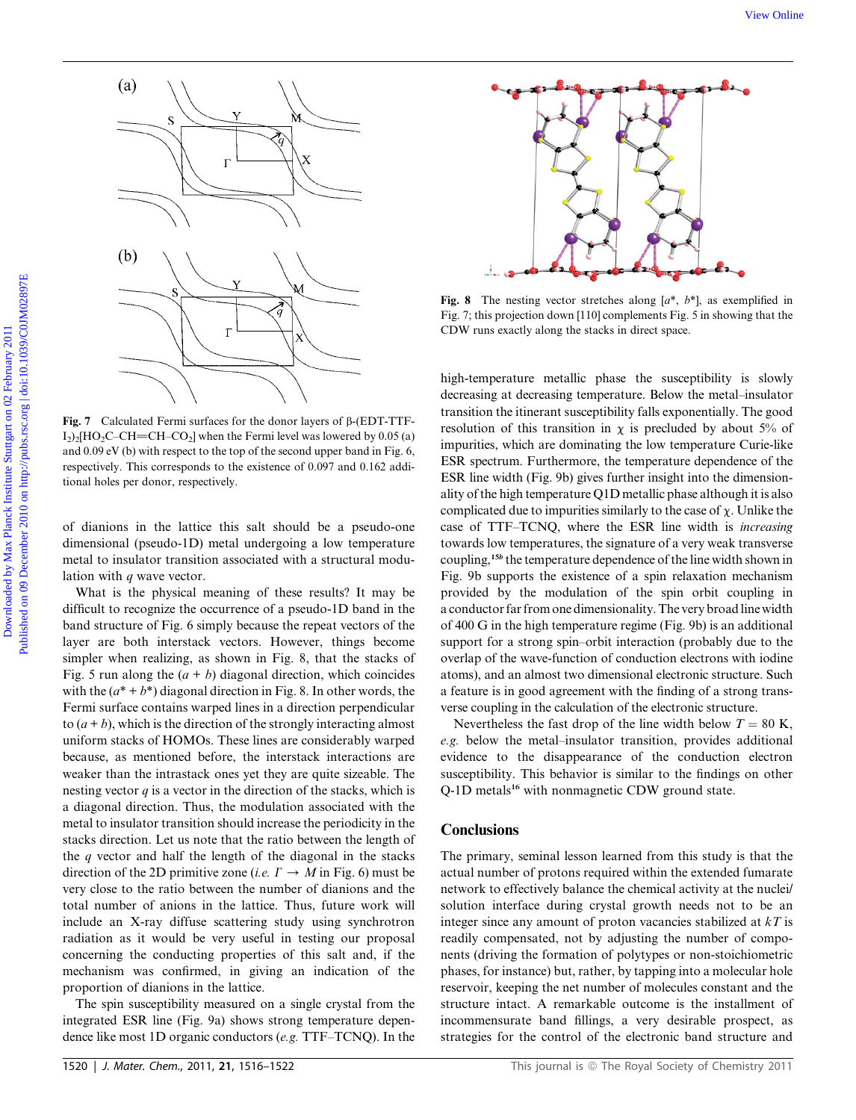

Fig. 7 Calculated Fermi surfaces for the donor layers of  $\beta$ -(EDT-TTF- $I_2$ )<sub>2</sub>[HO<sub>2</sub>C–CH=CH–CO<sub>2</sub>] when the Fermi level was lowered by 0.05 (a) and 0.09 eV (b) with respect to the top of the second upper band in Fig. 6, respectively. This corresponds to the existence of 0.097 and 0.162 additional holes per donor, respectively.

of dianions in the lattice this salt should be a pseudo-one dimensional (pseudo-1D) metal undergoing a low temperature metal to insulator transition associated with a structural modulation with  $q$  wave vector.

What is the physical meaning of these results? It may be difficult to recognize the occurrence of a pseudo-1D band in the band structure of Fig. 6 simply because the repeat vectors of the layer are both interstack vectors. However, things become simpler when realizing, as shown in Fig. 8, that the stacks of Fig. 5 run along the  $(a + b)$  diagonal direction, which coincides with the  $(a^* + b^*)$  diagonal direction in Fig. 8. In other words, the Fermi surface contains warped lines in a direction perpendicular to  $(a + b)$ , which is the direction of the strongly interacting almost uniform stacks of HOMOs. These lines are considerably warped because, as mentioned before, the interstack interactions are weaker than the intrastack ones yet they are quite sizeable. The nesting vector  $q$  is a vector in the direction of the stacks, which is a diagonal direction. Thus, the modulation associated with the metal to insulator transition should increase the periodicity in the stacks direction. Let us note that the ratio between the length of the  $q$  vector and half the length of the diagonal in the stacks direction of the 2D primitive zone (*i.e.*  $\Gamma \rightarrow M$  in Fig. 6) must be very close to the ratio between the number of dianions and the total number of anions in the lattice. Thus, future work will include an X-ray diffuse scattering study using synchrotron radiation as it would be very useful in testing our proposal concerning the conducting properties of this salt and, if the mechanism was confirmed, in giving an indication of the proportion of dianions in the lattice.

The spin susceptibility measured on a single crystal from the integrated ESR line (Fig. 9a) shows strong temperature dependence like most 1D organic conductors (e.g. TTF–TCNQ). In the



Fig. 8 The nesting vector stretches along  $[a^*, b^*]$ , as exemplified in Fig. 7; this projection down [110] complements Fig. 5 in showing that the CDW runs exactly along the stacks in direct space.

high-temperature metallic phase the susceptibility is slowly decreasing at decreasing temperature. Below the metal–insulator transition the itinerant susceptibility falls exponentially. The good resolution of this transition in  $\chi$  is precluded by about 5% of impurities, which are dominating the low temperature Curie-like ESR spectrum. Furthermore, the temperature dependence of the ESR line width (Fig. 9b) gives further insight into the dimensionality of the high temperature Q1D metallic phase although it is also complicated due to impurities similarly to the case of  $\chi$ . Unlike the case of TTF–TCNQ, where the ESR line width is increasing towards low temperatures, the signature of a very weak transverse coupling,<sup>15b</sup> the temperature dependence of the line width shown in Fig. 9b supports the existence of a spin relaxation mechanism provided by the modulation of the spin orbit coupling in a conductor far from one dimensionality. The very broad line width of 400 G in the high temperature regime (Fig. 9b) is an additional support for a strong spin–orbit interaction (probably due to the overlap of the wave-function of conduction electrons with iodine atoms), and an almost two dimensional electronic structure. Such a feature is in good agreement with the finding of a strong transverse coupling in the calculation of the electronic structure.

Nevertheless the fast drop of the line width below  $T = 80$  K, e.g. below the metal–insulator transition, provides additional evidence to the disappearance of the conduction electron susceptibility. This behavior is similar to the findings on other Q-1D metals<sup>16</sup> with nonmagnetic CDW ground state.

# **Conclusions**

The primary, seminal lesson learned from this study is that the actual number of protons required within the extended fumarate network to effectively balance the chemical activity at the nuclei/ solution interface during crystal growth needs not to be an integer since any amount of proton vacancies stabilized at  $kT$  is readily compensated, not by adjusting the number of components (driving the formation of polytypes or non-stoichiometric phases, for instance) but, rather, by tapping into a molecular hole reservoir, keeping the net number of molecules constant and the structure intact. A remarkable outcome is the installment of incommensurate band fillings, a very desirable prospect, as strategies for the control of the electronic band structure and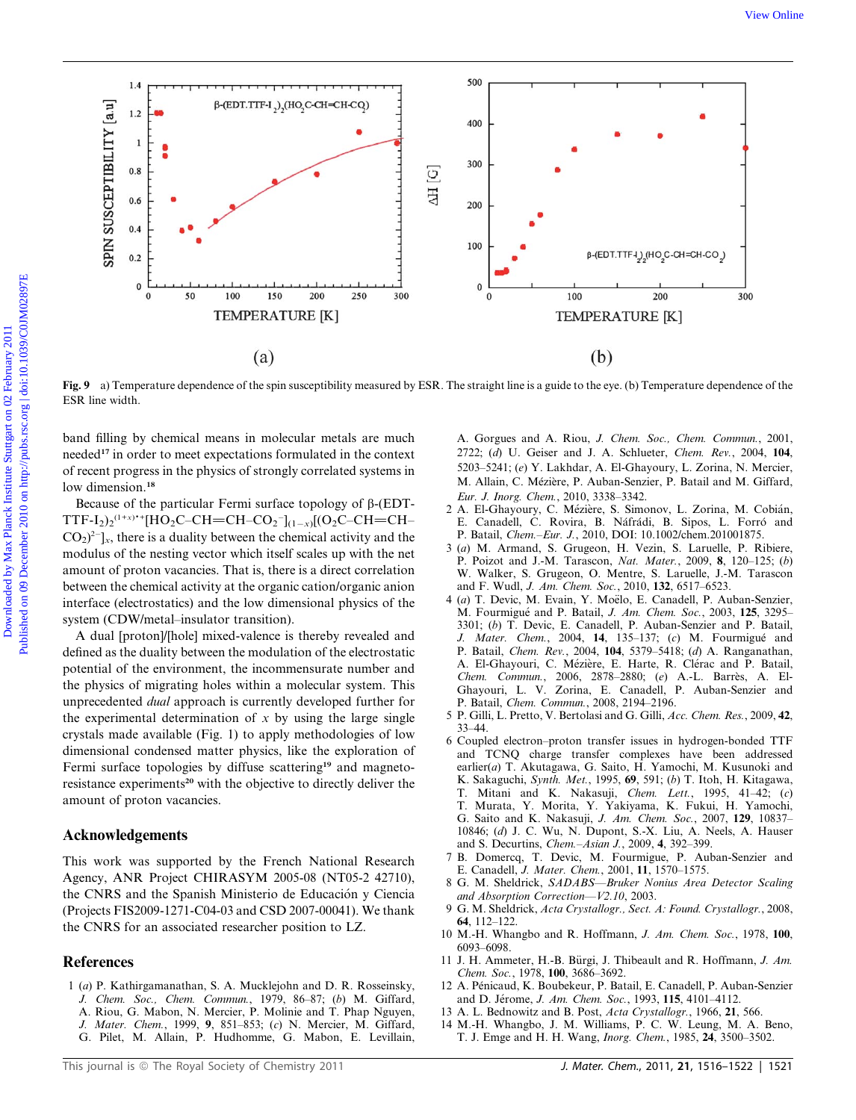

Fig. 9 a) Temperature dependence of the spin susceptibility measured by ESR. The straight line is a guide to the eye. (b) Temperature dependence of the ESR line width.

band filling by chemical means in molecular metals are much needed<sup>17</sup> in order to meet expectations formulated in the context of recent progress in the physics of strongly correlated systems in low dimension.<sup>18</sup>

Because of the particular Fermi surface topology of  $\beta$ -(EDT- $TTF-I_2)_2^{(1+x)*}$ [HO<sub>2</sub>C–CH=CH–CO<sub>2</sub><sup>-</sup>]<sub>(1-x)</sub>[(O<sub>2</sub>C–CH=CH–  $CO<sub>2</sub>$ )<sup>2-</sup>]<sub>x</sub>, there is a duality between the chemical activity and the modulus of the nesting vector which itself scales up with the net amount of proton vacancies. That is, there is a direct correlation between the chemical activity at the organic cation/organic anion interface (electrostatics) and the low dimensional physics of the system (CDW/metal–insulator transition).

A dual [proton]/[hole] mixed-valence is thereby revealed and defined as the duality between the modulation of the electrostatic potential of the environment, the incommensurate number and the physics of migrating holes within a molecular system. This unprecedented dual approach is currently developed further for the experimental determination of  $x$  by using the large single crystals made available (Fig. 1) to apply methodologies of low dimensional condensed matter physics, like the exploration of Fermi surface topologies by diffuse scattering<sup>19</sup> and magnetoresistance experiments<sup>20</sup> with the objective to directly deliver the amount of proton vacancies.

# Acknowledgements

This work was supported by the French National Research Agency, ANR Project CHIRASYM 2005-08 (NT05-2 42710), the CNRS and the Spanish Ministerio de Educación y Ciencia (Projects FIS2009-1271-C04-03 and CSD 2007-00041). We thank the CNRS for an associated researcher position to LZ.

## References

- 1 (a) P. Kathirgamanathan, S. A. Mucklejohn and D. R. Rosseinsky, J. Chem. Soc., Chem. Commun., 1979, 86–87; (b) M. Giffard,
	- A. Riou, G. Mabon, N. Mercier, P. Molinie and T. Phap Nguyen,
	- J. Mater. Chem., 1999, 9, 851–853; (c) N. Mercier, M. Giffard,
	- G. Pilet, M. Allain, P. Hudhomme, G. Mabon, E. Levillain,

A. Gorgues and A. Riou, J. Chem. Soc., Chem. Commun., 2001, 2722; (d) U. Geiser and J. A. Schlueter, Chem. Rev., 2004, 104, 5203–5241; (e) Y. Lakhdar, A. El-Ghayoury, L. Zorina, N. Mercier, M. Allain, C. Mézière, P. Auban-Senzier, P. Batail and M. Giffard, Eur. J. Inorg. Chem., 2010, 3338–3342.

- 2 A. El-Ghayoury, C. Mézière, S. Simonov, L. Zorina, M. Cobián, E. Canadell, C. Rovira, B. Náfrádi, B. Sipos, L. Forró and P. Batail, Chem.–Eur. J., 2010, DOI: 10.1002/chem.201001875.
- 3 (a) M. Armand, S. Grugeon, H. Vezin, S. Laruelle, P. Ribiere, Poizot and J.-M. Tarascon, Nat. Mater., 2009, 8, 120-125; (b) W. Walker, S. Grugeon, O. Mentre, S. Laruelle, J.-M. Tarascon and F. Wudl, J. Am. Chem. Soc., 2010, 132, 6517–6523.
- 4 (a) T. Devic, M. Evain, Y. Moëlo, E. Canadell, P. Auban-Senzier, M. Fourmigué and P. Batail, J. Am. Chem. Soc., 2003, 125, 3295-3301; (b) T. Devic, E. Canadell, P. Auban-Senzier and P. Batail, J. Mater. Chem., 2004, 14, 135-137; (c) M. Fourmigué and P. Batail, Chem. Rev., 2004, 104, 5379–5418; (d) A. Ranganathan, A. El-Ghayouri, C. Mézière, E. Harte, R. Clérac and P. Batail, Chem. Commun., 2006, 2878–2880; (e) A.-L. Barres, A. El-Ghayouri, L. V. Zorina, E. Canadell, P. Auban-Senzier and P. Batail, Chem. Commun., 2008, 2194–2196.
- 5 P. Gilli, L. Pretto, V. Bertolasi and G. Gilli, Acc. Chem. Res., 2009, 42, 33–44.
- 6 Coupled electron–proton transfer issues in hydrogen-bonded TTF and TCNQ charge transfer complexes have been addressed earlier(a) T. Akutagawa, G. Saito, H. Yamochi, M. Kusunoki and K. Sakaguchi, Synth. Met., 1995, 69, 591; (b) T. Itoh, H. Kitagawa, T. Mitani and K. Nakasuji, Chem. Lett., 1995, 41–42; (c) T. Murata, Y. Morita, Y. Yakiyama, K. Fukui, H. Yamochi, G. Saito and K. Nakasuji, J. Am. Chem. Soc., 2007, 129, 10837– 10846; (d) J. C. Wu, N. Dupont, S.-X. Liu, A. Neels, A. Hauser and S. Decurtins, Chem.–Asian J., 2009, 4, 392–399.
- 7 B. Domercq, T. Devic, M. Fourmigue, P. Auban-Senzier and E. Canadell, J. Mater. Chem., 2001, 11, 1570–1575.
- 8 G. M. Sheldrick, SADABS—Bruker Nonius Area Detector Scaling and Absorption Correction—V2.10, 2003.
- 9 G. M. Sheldrick, Acta Crystallogr., Sect. A: Found. Crystallogr., 2008, 64, 112–122.
- 10 M.-H. Whangbo and R. Hoffmann, J. Am. Chem. Soc., 1978, 100, 6093–6098.
- 11 J. H. Ammeter, H.-B. Bürgi, J. Thibeault and R. Hoffmann, J. Am. Chem. Soc., 1978, 100, 3686–3692.
- 12 A. Pénicaud, K. Boubekeur, P. Batail, E. Canadell, P. Auban-Senzier and D. Jérome, J. Am. Chem. Soc., 1993, 115, 4101-4112.
- 13 A. L. Bednowitz and B. Post, Acta Crystallogr., 1966, 21, 566.
- 14 M.-H. Whangbo, J. M. Williams, P. C. W. Leung, M. A. Beno, T. J. Emge and H. H. Wang, Inorg. Chem., 1985, 24, 3500–3502.